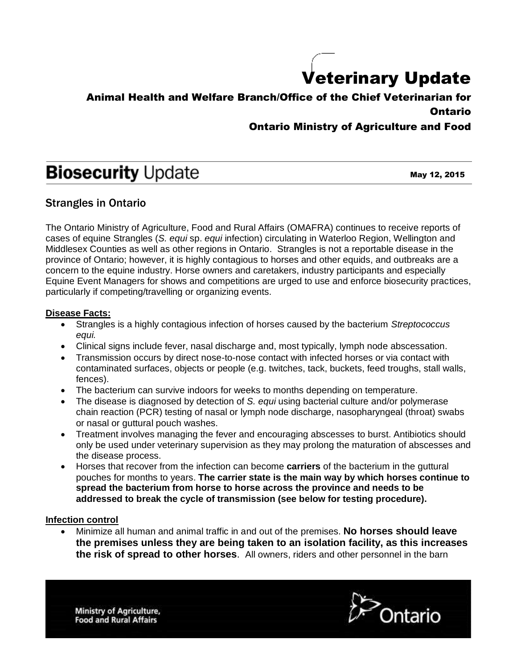# Veterinary Update

# Animal Health and Welfare Branch/Office of the Chief Veterinarian for Ontario

## Ontario Ministry of Agriculture and Food

# **Biosecurity Update**

May 12, 2015

## Strangles in Ontario

The Ontario Ministry of Agriculture, Food and Rural Affairs (OMAFRA) continues to receive reports of cases of equine Strangles (*S. equi* sp. *equi* infection) circulating in Waterloo Region, Wellington and Middlesex Counties as well as other regions in Ontario. Strangles is not a reportable disease in the province of Ontario; however, it is highly contagious to horses and other equids, and outbreaks are a concern to the equine industry. Horse owners and caretakers, industry participants and especially Equine Event Managers for shows and competitions are urged to use and enforce biosecurity practices, particularly if competing/travelling or organizing events.

### **Disease Facts:**

- Strangles is a highly contagious infection of horses caused by the bacterium *Streptococcus equi.*
- Clinical signs include fever, nasal discharge and, most typically, lymph node abscessation.
- Transmission occurs by direct nose-to-nose contact with infected horses or via contact with contaminated surfaces, objects or people (e.g. twitches, tack, buckets, feed troughs, stall walls, fences).
- The bacterium can survive indoors for weeks to months depending on temperature.
- The disease is diagnosed by detection of *S. equi* using bacterial culture and/or polymerase chain reaction (PCR) testing of nasal or lymph node discharge, nasopharyngeal (throat) swabs or nasal or guttural pouch washes.
- Treatment involves managing the fever and encouraging abscesses to burst. Antibiotics should only be used under veterinary supervision as they may prolong the maturation of abscesses and the disease process.
- Horses that recover from the infection can become **carriers** of the bacterium in the guttural pouches for months to years. **The carrier state is the main way by which horses continue to spread the bacterium from horse to horse across the province and needs to be addressed to break the cycle of transmission (see below for testing procedure).**

### **Infection control**

 Minimize all human and animal traffic in and out of the premises. **No horses should leave the premises unless they are being taken to an isolation facility, as this increases the risk of spread to other horses**. All owners, riders and other personnel in the barn

Ministry of Agriculture, **Food and Rural Affairs**